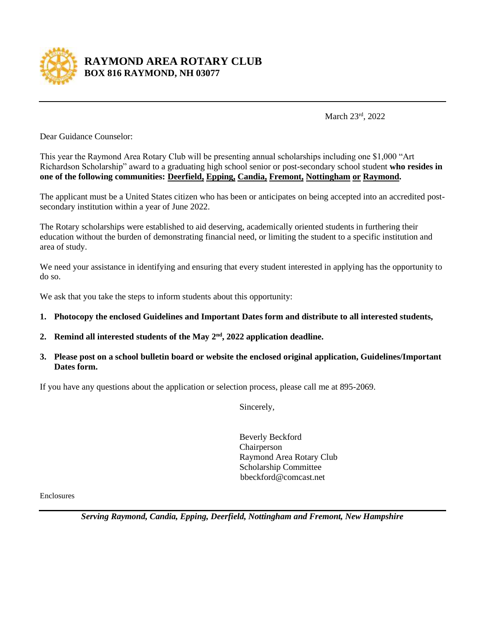

## **RAYMOND AREA ROTARY CLUB BOX 816 RAYMOND, NH 03077**

March 23rd, 2022

Dear Guidance Counselor:

This year the Raymond Area Rotary Club will be presenting annual scholarships including one \$1,000 "Art Richardson Scholarship" award to a graduating high school senior or post-secondary school student **who resides in one of the following communities: Deerfield, Epping, Candia, Fremont, Nottingham or Raymond.**

The applicant must be a United States citizen who has been or anticipates on being accepted into an accredited postsecondary institution within a year of June 2022.

The Rotary scholarships were established to aid deserving, academically oriented students in furthering their education without the burden of demonstrating financial need, or limiting the student to a specific institution and area of study.

We need your assistance in identifying and ensuring that every student interested in applying has the opportunity to do so.

We ask that you take the steps to inform students about this opportunity:

- **1. Photocopy the enclosed Guidelines and Important Dates form and distribute to all interested students,**
- 2. Remind all interested students of the May  $2<sup>nd</sup>$ , 2022 application deadline.
- **3. Please post on a school bulletin board or website the enclosed original application, Guidelines/Important Dates form.**

If you have any questions about the application or selection process, please call me at 895-2069.

Sincerely,

Beverly Beckford Chairperson Raymond Area Rotary Club Scholarship Committee bbeckford@comcast.net

Enclosures

*Serving Raymond, Candia, Epping, Deerfield, Nottingham and Fremont, New Hampshire*